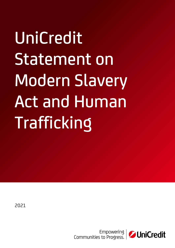UniCredit Statement on Modern Slavery Act and Human Trafficking

2021

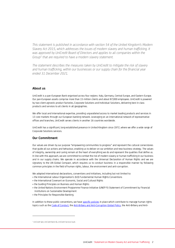*This statement is published in accordance with section 54 of the United Kingdom's Modern Slavery Act 2015, which addresses the issues of modern slavery and human trafficking. It was approved by UniCredit Board of Directors and applies to all companies within the Group<sup>1</sup> that are required to have a modern slavery statement.* 

*The statement describes the measures taken by UniCredit to mitigate the risk of slavery and human trafficking, within our businesses or our supply chain for the financial year ended 31 December 2021.*

# **About us**

UniCredit is a pan-European Bank organised across four regions: Italy, Germany, Central Europe, and Eastern Europe. Our pan-European assets comprise more than 15 million clients and about 87,000 employees. UniCredit is powered by two client agnostic product factories, Corporate Solutions and Individual Solutions, delivering best in class products and services to all clients in all geographies.

We offer local and international expertise, providing unparalleled access to market leading products and services in 13 core markets through our European banking network. Leveraging on an international network of representative offices and branches, UniCredit serves clients in another 16 countries worldwide.

UniCredit has a significant, long-established presence in United Kingdom since 1972, where we offer a wide range of Corporate Solutions services.

## **Our Commitment**

Our values are driven by our purpose "empowering communities to progress" and represent the cultural cornerstones that guide all our actions and behaviour, enabling us to deliver on our ambition and new business strategy. The values of integrity, ownership and caring remain at the heart of everything we do and represent the qualities that define us. In line with this approach, we are committed to combat the risk of modern slavery or human trafficking in our business and in our supply chains. We operate in accordance with the Universal Declaration of Human Rights and we are signatory to the UN Global Compact, which requires us to conduct business in a responsible manner by following common principles in the field of human rights, labour, the environment and anti-corruption.

We adopted international declarations, conventions and initiatives, including but not limited to:

- the International Labour Organization's (ILO) Fundamental Human Rights Conventions
- the International Covenant on Economic, Social and Cultural Rights
- the Guiding Principles on Business and Human Rights
- the United Nations Environment Programme Finance Initiative (UNEP FI) Statement of Commitment by Financial Institutions on Sustainable Development
- the Principles for Responsible Banking.

In addition to these public conventions, we hav[e specific policies](https://www.unicreditgroup.eu/en/governance/our-governance-system/articles-association-code-ethics.html) in place which contribute to manage human rights topics such as th[e Code of Conduct,](https://www.unicreditgroup.eu/content/dam/unicreditgroup-eu/documents/en/governance/governance-system-and-policies/policies-and-documents/1187-Global-Policy---Code-of-Conduc_EN.pdf) th[e Anti-Bribery and Anti-Corruption Global Policy,](https://www.unicreditgroup.eu/content/dam/unicreditgroup-eu/documents/en/governance/governance-system-and-policies/policies-and-documents/1299-Global-Policy-Anti-Bribery-and-Anti-Corruption_EN_def.pdf) the Anti-Bribery and Anti-

<sup>1</sup> UniCredit SpA, UniCredit Bank AG, UniCredit Services ScpA.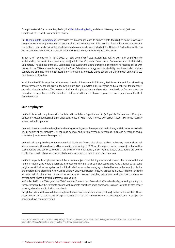Corruption Global Operational Regulation, the *Whistleblowing Policy* and the Anti-Money Laundering (AML) and Countering of Terrorist Financing (CTF) Policy.

Our [Human Rights Commitment](https://www.unicreditgroup.eu/content/dam/unicreditgroup-eu/documents/en/sustainability/our-vision-of-a-sustainable-bank/policies-and-guidelines/Human-Rights-Commitment_vers.1.pdf) summarises the Group's approach to human rights, focusing on some stakeholder categories such as employees, customers, suppliers and communities. It is based on international declarations and conventions, standards, principles, guidelines and recommendations, including The Universal Declaration of Human Rights and the International Labour Organization's Fundamental Human Rights Conventions.

In terms of governance, in April 2021 an ESG Committee<sup>2</sup> was established, taking over and amplifying the sustainability responsibilities previously assigned to the Corporate Governance, Nomination and Sustainability Committee. The purpose of the ESG Committee is to support the Board of Directors in fulfilling its responsibilities with respect to the ESG components integral to the Group's business strategy and sustainability over time. It also provides support and opinions to the other Board Committees so as to ensure Group policies are aligned with UniCredit's ESG principles and objectives.

In addition the ESG Strategy Council took over the role of the former ESG Strategy Task Force. It is an informal working group composed by the majority of the Group Executive Committee (GEC) members and a number of top managers reporting directly to them. The presence of all the Group's business and operating line heads or first reporting line managers ensures that each ESG initiative is fully embedded in the business, processes and operations of the Bank from the outset

### **Our employees**

UniCredit is in full compliance with the International Labour Organization's (ILO) Tripartite Declaration of Principles Concerning Multinational Enterprises and Social Policy or, when more rigorous, with current labour laws in each country where UniCredit operates.

UniCredit is committed to select, hire and manage employees while respecting their dignity and rights as individuals. The principles of civil freedom (e.g., religious, political and cultural freedom, freedom of union and freedom of sexual orientation) must always be respected.

UniCredit aims at providing a culture where individuals are free to voice dissent and not to be wary to reconsider their views, overcoming hierarchical and bureaucratic conditioning. In 2021, our Courageous Voices campaign enhanced the accountability and speak-up culture at all levels of the organization, ensuring that leaders at all levels are able to create a safe working environment in which team members feel free to voice their opinions.

UniCredit expects its employees to contribute to creating and maintaining a work environment that is respectful and non-intimidating, and where differences in gender identity, age, race, ethnicity, sexual orientation, ability, background, religious or ethical values system and political beliefs or any other category protected by law in the local jurisdiction are embraced and promoted. A new Group Diversity Equity & Inclusion Policy was released in 2021, to further enhance inclusion within the whole organization and ensure that our policies, procedures and practices promote an environment where individual differences are valued.

In October 2021, our CEO signed the CEO Champion Commitment Towards the Zero Gender Gap, ensuring the topic is firmly considered on the corporate agenda with concrete objectives and a framework to move towards greater gender equality, diversity and inclusion in our bank.

Our global policies allow zero tolerance against harassment, sexual misconduct, bullying, and acts of retaliation. Under these policies, in 2021 across the Group, 42 reports on harassment were received and investigated and 11 disciplinary sanctions have been committed.

<sup>&</sup>lt;sup>2</sup> ESG matters were discussed in 2 of the meetings held by the Corporate Govemance, Nomination and Sustainability Committee in the first half of 2021, prior to the first meeting of the ESG Committee in June 2021. Other 7 meetings were subsequently held.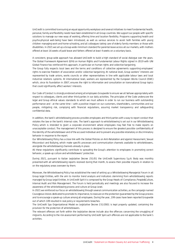UniCredit is committed to ensuring an equal opportunity workplace and several initiatives to meet fundamental health, personal, family and flexibility needs have been established in all Group countries. We support our people with specific solutions to manage our new ways of working, offering time and location flexibility. Programs supporting health and psycho-physical well-being have been introduced, as well as various services to assist both families with young children managing work and home-schooling, and all colleagues taking care of elderly family members or those with disabilities. In 2021 we set up a Group-wide minimum standard for parental leave across all our markets, with mothers offered at least 16 weeks of paid leave and fathers offered at least 4 weeks on a voluntary basis.

A consistent, group-wide approach has allowed UniCredit to build a high standard of social dialogue over the years. The Global Framework Agreement (GFA) on Human Rights and Fundamental Labour Rights signed in 2019 with UNI Global Finance has reinforced this approach, in particular on human rights and collective bargaining.

The Group fully respects local laws and the terms and conditions of collective agreements supporting employees' rights to exercise freedom of association and/or collective bargaining. At national level, Group workers' interests are represented by trade unions, works councils or other representatives in line with applicable labour laws and local industrial relations systems. At international level, workers are represented by the European Works Council (EWC) which, since its foundation in 2007, ensures the right to information and consultation on transnational Group topics that could significantly affect workers' interests.

Our Code of Conduct is strongly endorsed among all employees Groupwide to ensure we all behave appropriately with respect to colleagues, clients and other third parties in our daily activities. The principles of the Code underscore the legal and Group ethical values standards to which we must adhere in order to run our business with outstanding performance and - at the same time – with a positive impact on our customers, shareholders, communities and our people, mitigating risk, complying with financial regulations, assuring market transparency and safeguarding confidential data.

In addition, the bank's whistleblowing process provides employees and third parties with a way to report conduct that violates the law or the bank's internal rules. The bank's approach to whistleblowing is set out in our Whistleblowing Policy which is intended to grant a corporate environment where employees may feel free to make reports on unacceptable conduct. The management of this process is designed to ensure the greatest possible confidentiality of the identity of the whistleblower and of the accused individual and to prevent any possible retaliatory or discriminatory behavior in response to the report.

Our Whistleblowing Policy has a close link with the Global Policies on Anti-Retaliation and against Harassment, Sexual Misconduct and Bullying, which make specific processes and communication channels available to whistleblowers, alongside the whistleblowing channels already in place.

All these regulations significantly contribute to spreading the Group's attention to employees in promoting correct behavior, a speak-up culture and whistleblowers' protection.

During 2021, pursuant to Italian Legislative Decree 231/01 the UniCredit Supervisory S.p.A. Body was monthly presented with all whistleblowing reports received during that month, to assess their possible impacts in relation to on the regulatory areas overseen by them.

Moreover, the Whistleblowing Policy has established the need of setting up a Whistleblowing Managerial Forum in all Group legal Entities, with the aim to monitor trend analysis and indicators stemming from whistleblowing reports managed by Group Legal Entities. In UniCredit SpA it is composed by the Group Heads of: Compliance, People&Culture, Internal Audit and Risk Management. The Forum is held periodically and meetings are also focused to increase the awareness of the whistleblowing process and culture at Group Level.

In 2021 we reinforced our focus on whistleblowing through several communication activities, as the campaign named Courageous Voices dedicated to promote its importance, to reassure on the protection guaranteed by the Group process and to encourage a speak-up culture among all employees. During the year, 199 cases have been reported Groupwide out of which 109 resulted in real policy or requirements breaches.

The UniCredit Spa Organizational Model ex Legislative Decree 231/2001 is kept properly updated, containing the provision for the protection of whistleblowers.

The relevant offences set forth within the legislative decree include also the offences concerning the smuggling of migrants. According to the risk assessment performed by UniCredit SpA such offences are not applicable to the bank's activities.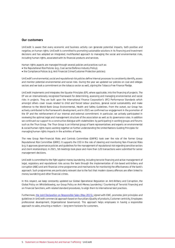#### **Our customers**

UniCredit is aware that every economic and business activity can generate potential impacts, both positive and negative, on human rights. UniCredit is committed to promoting sustainable solutions in its financing and investment decisions and has adopted an integrated, multifaceted approach to managing the social and environmental risks, including human rights, associated with its financial products and services.

Human rights aspects are managed through several policies and practices such as:

- the Reputational Risk Policies (e.g., Coal sector/Defence Industry Policy);
- the Compliance Polices (e.g. Anti Financial Crime/Customer Protection policies).

UniCredit's environmental, social and reputational risk policies define internal processes to consistently identify, assess and monitor potential environmental and social risks. During the year we updated our policies on coal and oil&gas sectors and we took a commitment on the tobacco sector as well, signing the Tobacco Free Finance Pledge.

UniCredit implements and integrates the Equator Principles (EP), where applicable, into the financing of projects. The EP are an internationally recognized framework for determining, assessing and managing environmental and social risks in projects. They are built upon the International Finance Corporation's (IFC) Performance Standards which amongst others cover issues related to child and forced labour practices, general social sustainability and make reference to the World Bank Group Environmental, Health and Safety Guidelines. From the outset, our Group has actively contributed to the framework's development, and in 2021 we confirmed our engagement in the promotion of the EP and the reinforcement of our internal and external commitment. In particular, we actively participated in reviewing the optimal legal and management structure of the association as well as its governance rules. In addition we continued our support to a constructive dialogue with stakeholders by participating in working groups and forums such as the Thun Group. The Thun Group is an informal group of bank representatives and experts on environmental & social/human rights topics working together on further understanding the United Nations Guiding Principles for managing human rights impacts in the activities of banks.

The new Group Non-Financial Risks and Controls Committee (GNFRC) took over the role of the former Group Reputational Risk Committee (GRRC). It supports the CEO in the role of steering and monitoring Non-Financial Risks (e.g. it approves governance policies and guidelines for the management of reputational risk regarding sensitive sectors and client relationships). In 2021, 58 meetings took place and more than 120 transactions were submitted for senior management decisions.

UniCredit is committed to the fight against money laundering, including terrorist financing and active management of legal, regulatory and reputational risks across the bank through the implementation of risk-based anti-bribery and corruption (ABC) and anti-financial crime programmes and mechanisms for monitoring the effectiveness of the bank's approach. Such programmes are particularly relevant due to the fact that modern slavery offences are often linked to money laundering and other financial crimes.

In this respect, we keep constantly updated our Global Operational Regulation on Anti-Bribery and Corruption, the Global Policy on Whistleblowing, our Group Policy on Anti-Money Laundering / Countering of Terrorist Financing and on Financial Sanctions, with related standard procedures, to align them to international best practices.

Furthermore, [the Joint Declaration on Responsible Sales \(May 2015\),](https://www.unicreditgroup.eu/content/dam/unicreditgroup-eu/documents/en/sustainability/EuropeanWorksCouncil/10.JD-on-Responsible-Sales_eng.pdf) signed with EWC, promotes joint principles and guidelines in UniCredit commercial approach based on four pillars (Quality of products, Customer centricity, Employees professional development, Organizational Governance). This approach helps employees in having a responsible approach to sales, ensuring a medium – long term horizons for customers.